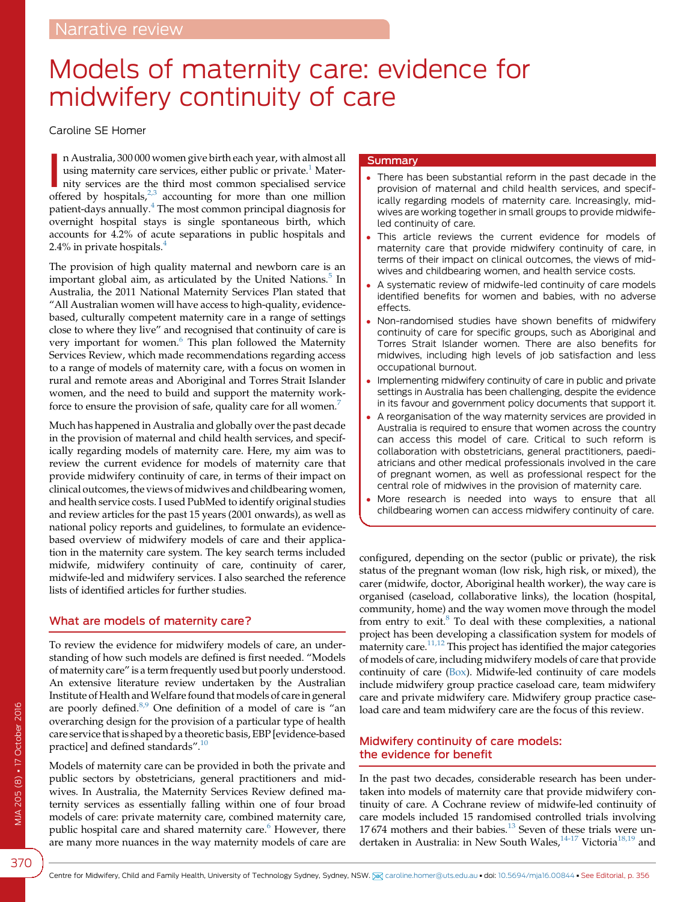# Models of maternity care: evidence for midwifery continuity of care

Caroline SE Homer

n Australia, 300 000 women give birth each year, with almost all using maternity care services, either public or private.<sup>1</sup> Maternity services are the third most common specialised service offered by hospitals,<sup>[2,3](#page-4-0)</sup> acco n Australia, 300 000 women give birth each year, with almost all using maternity care services, either public or private.<sup>[1](#page-4-0)</sup> Maternity services are the third most common specialised service patient-days annually.[4](#page-4-0) The most common principal diagnosis for overnight hospital stays is single spontaneous birth, which accounts for 4.2% of acute separations in public hospitals and 2.4% in private hospitals.[4](#page-4-0)

The provision of high quality maternal and newborn care is an important global aim, as articulated by the United Nations.<sup>[5](#page-4-0)</sup> In Australia, the 2011 National Maternity Services Plan stated that "All Australian women will have access to high-quality, evidencebased, culturally competent maternity care in a range of settings close to where they live" and recognised that continuity of care is very important for women.<sup>[6](#page-4-0)</sup> This plan followed the Maternity Services Review, which made recommendations regarding access to a range of models of maternity care, with a focus on women in rural and remote areas and Aboriginal and Torres Strait Islander women, and the need to build and support the maternity work-force to ensure the provision of safe, quality care for all women.<sup>[7](#page-4-0)</sup>

Much has happened in Australia and globally over the past decade in the provision of maternal and child health services, and specifically regarding models of maternity care. Here, my aim was to review the current evidence for models of maternity care that provide midwifery continuity of care, in terms of their impact on clinical outcomes, the views of midwives and childbearing women, and health service costs. I used PubMed to identify original studies and review articles for the past 15 years (2001 onwards), as well as national policy reports and guidelines, to formulate an evidencebased overview of midwifery models of care and their application in the maternity care system. The key search terms included midwife, midwifery continuity of care, continuity of carer, midwife-led and midwifery services. I also searched the reference lists of identified articles for further studies.

#### What are models of maternity care?

To review the evidence for midwifery models of care, an understanding of how such models are defined is first needed. "Models of maternity care" is a term frequently used but poorly understood. An extensive literature review undertaken by the Australian Institute of Health and Welfare found that models of care in general are poorly defined. $8.9$  One definition of a model of care is "an overarching design for the provision of a particular type of health care service that is shaped by a theoretic basis, EBP [evidence-based practice] and defined standards".<sup>[10](#page-4-0)</sup>

Models of maternity care can be provided in both the private and public sectors by obstetricians, general practitioners and midwives. In Australia, the Maternity Services Review defined maternity services as essentially falling within one of four broad models of care: private maternity care, combined maternity care, public hospital care and shared maternity care. $6$  However, there are many more nuances in the way maternity models of care are

#### **Summary**

- There has been substantial reform in the past decade in the provision of maternal and child health services, and specifically regarding models of maternity care. Increasingly, midwives are working together in small groups to provide midwifeled continuity of care.
- This article reviews the current evidence for models of maternity care that provide midwifery continuity of care, in terms of their impact on clinical outcomes, the views of midwives and childbearing women, and health service costs.
- A systematic review of midwife-led continuity of care models identified benefits for women and babies, with no adverse effects.
- Non-randomised studies have shown benefits of midwifery continuity of care for specific groups, such as Aboriginal and Torres Strait Islander women. There are also benefits for midwives, including high levels of job satisfaction and less occupational burnout.
- Implementing midwifery continuity of care in public and private settings in Australia has been challenging, despite the evidence in its favour and government policy documents that support it.
- A reorganisation of the way maternity services are provided in Australia is required to ensure that women across the country can access this model of care. Critical to such reform is collaboration with obstetricians, general practitioners, paediatricians and other medical professionals involved in the care of pregnant women, as well as professional respect for the central role of midwives in the provision of maternity care.
- More research is needed into ways to ensure that all childbearing women can access midwifery continuity of care.

configured, depending on the sector (public or private), the risk status of the pregnant woman (low risk, high risk, or mixed), the carer (midwife, doctor, Aboriginal health worker), the way care is organised (caseload, collaborative links), the location (hospital, community, home) and the way women move through the model from entry to exit. $8$  To deal with these complexities, a national project has been developing a classification system for models of maternity care.<sup>11,12</sup> This project has identified the major categories of models of care, including midwifery models of care that provide continuity of care [\(Box](#page-1-0)). Midwife-led continuity of care models include midwifery group practice caseload care, team midwifery care and private midwifery care. Midwifery group practice caseload care and team midwifery care are the focus of this review.

## Midwifery continuity of care models: the evidence for benefit

In the past two decades, considerable research has been undertaken into models of maternity care that provide midwifery continuity of care. A Cochrane review of midwife-led continuity of care models included 15 randomised controlled trials involving 17 674 mothers and their babies.<sup>[13](#page-4-0)</sup> Seven of these trials were un-dertaken in Australia: in New South Wales,<sup>[14-17](#page-4-0)</sup> Victoria<sup>[18,19](#page-4-0)</sup> and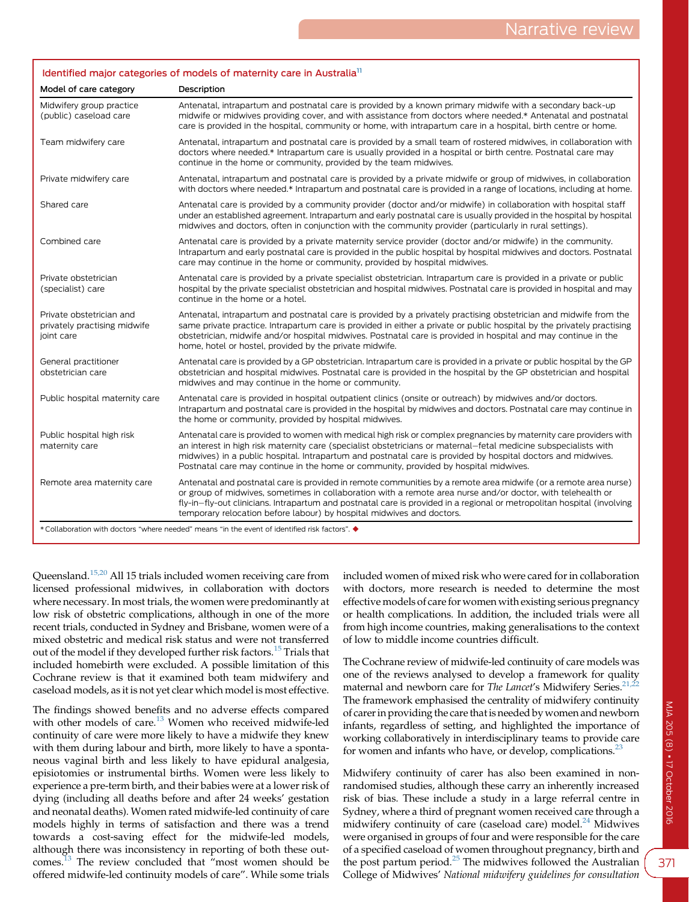#### <span id="page-1-0"></span>Identified major categories of models of maternity care in Australia<sup>11</sup>

| Model of care category                                                                        | Description                                                                                                                                                                                                                                                                                                                                                                                                                                    |
|-----------------------------------------------------------------------------------------------|------------------------------------------------------------------------------------------------------------------------------------------------------------------------------------------------------------------------------------------------------------------------------------------------------------------------------------------------------------------------------------------------------------------------------------------------|
| Midwifery group practice<br>(public) caseload care                                            | Antenatal, intrapartum and postnatal care is provided by a known primary midwife with a secondary back-up<br>midwife or midwives providing cover, and with assistance from doctors where needed.* Antenatal and postnatal<br>care is provided in the hospital, community or home, with intrapartum care in a hospital, birth centre or home.                                                                                                   |
| Team midwifery care                                                                           | Antenatal, intrapartum and postnatal care is provided by a small team of rostered midwives, in collaboration with<br>doctors where needed.* Intrapartum care is usually provided in a hospital or birth centre. Postnatal care may<br>continue in the home or community, provided by the team midwives.                                                                                                                                        |
| Private midwifery care                                                                        | Antenatal, intrapartum and postnatal care is provided by a private midwife or group of midwives, in collaboration<br>with doctors where needed.* Intrapartum and postnatal care is provided in a range of locations, including at home.                                                                                                                                                                                                        |
| Shared care                                                                                   | Antenatal care is provided by a community provider (doctor and/or midwife) in collaboration with hospital staff<br>under an established agreement. Intrapartum and early postnatal care is usually provided in the hospital by hospital<br>midwives and doctors, often in conjunction with the community provider (particularly in rural settings).                                                                                            |
| Combined care                                                                                 | Antenatal care is provided by a private maternity service provider (doctor and/or midwife) in the community.<br>Intrapartum and early postnatal care is provided in the public hospital by hospital midwives and doctors. Postnatal<br>care may continue in the home or community, provided by hospital midwives.                                                                                                                              |
| Private obstetrician<br>(specialist) care                                                     | Antenatal care is provided by a private specialist obstetrician. Intrapartum care is provided in a private or public<br>hospital by the private specialist obstetrician and hospital midwives. Postnatal care is provided in hospital and may<br>continue in the home or a hotel.                                                                                                                                                              |
| Private obstetrician and<br>privately practising midwife<br>joint care                        | Antenatal, intrapartum and postnatal care is provided by a privately practising obstetrician and midwife from the<br>same private practice. Intrapartum care is provided in either a private or public hospital by the privately practising<br>obstetrician, midwife and/or hospital midwives. Postnatal care is provided in hospital and may continue in the<br>home, hotel or hostel, provided by the private midwife.                       |
| General practitioner<br>obstetrician care                                                     | Antenatal care is provided by a GP obstetrician. Intrapartum care is provided in a private or public hospital by the GP<br>obstetrician and hospital midwives. Postnatal care is provided in the hospital by the GP obstetrician and hospital<br>midwives and may continue in the home or community.                                                                                                                                           |
| Public hospital maternity care                                                                | Antenatal care is provided in hospital outpatient clinics (onsite or outreach) by midwives and/or doctors.<br>Intrapartum and postnatal care is provided in the hospital by midwives and doctors. Postnatal care may continue in<br>the home or community, provided by hospital midwives.                                                                                                                                                      |
| Public hospital high risk<br>maternity care                                                   | Antenatal care is provided to women with medical high risk or complex pregnancies by maternity care providers with<br>an interest in high risk maternity care (specialist obstetricians or maternal–fetal medicine subspecialists with<br>midwives) in a public hospital. Intrapartum and postnatal care is provided by hospital doctors and midwives.<br>Postnatal care may continue in the home or community, provided by hospital midwives. |
| Remote area maternity care                                                                    | Antenatal and postnatal care is provided in remote communities by a remote area midwife (or a remote area nurse)<br>or group of midwives, sometimes in collaboration with a remote area nurse and/or doctor, with telehealth or<br>fly-in-fly-out clinicians. Intrapartum and postnatal care is provided in a regional or metropolitan hospital (involving<br>temporary relocation before labour) by hospital midwives and doctors.            |
| *Collaboration with doctors "where needed" means "in the event of identified risk factors". ◆ |                                                                                                                                                                                                                                                                                                                                                                                                                                                |

Queensland.[15,20](#page-4-0) All 15 trials included women receiving care from licensed professional midwives, in collaboration with doctors where necessary. In most trials, the women were predominantly at low risk of obstetric complications, although in one of the more recent trials, conducted in Sydney and Brisbane, women were of a mixed obstetric and medical risk status and were not transferred out of the model if they developed further risk factors.<sup>[15](#page-4-0)</sup> Trials that included homebirth were excluded. A possible limitation of this Cochrane review is that it examined both team midwifery and caseload models, as it is not yet clear which model is most effective.

The findings showed benefits and no adverse effects compared with other models of care.<sup>[13](#page-4-0)</sup> Women who received midwife-led continuity of care were more likely to have a midwife they knew with them during labour and birth, more likely to have a spontaneous vaginal birth and less likely to have epidural analgesia, episiotomies or instrumental births. Women were less likely to experience a pre-term birth, and their babies were at a lower risk of dying (including all deaths before and after 24 weeks' gestation and neonatal deaths). Women rated midwife-led continuity of care models highly in terms of satisfaction and there was a trend towards a cost-saving effect for the midwife-led models, although there was inconsistency in reporting of both these out-comes.<sup>[13](#page-4-0)</sup> The review concluded that "most women should be offered midwife-led continuity models of care". While some trials included women of mixed risk who were cared for in collaboration with doctors, more research is needed to determine the most effective models of care for women with existing serious pregnancy or health complications. In addition, the included trials were all from high income countries, making generalisations to the context of low to middle income countries difficult.

The Cochrane review of midwife-led continuity of care models was one of the reviews analysed to develop a framework for quality maternal and newborn care for The Lancet's Midwifery Series.<sup>21,2</sup> The framework emphasised the centrality of midwifery continuity of carer in providing the care that is needed by women and newborn infants, regardless of setting, and highlighted the importance of working collaboratively in interdisciplinary teams to provide care for women and infants who have, or develop, complications.<sup>[23](#page-4-0)</sup>

Midwifery continuity of carer has also been examined in nonrandomised studies, although these carry an inherently increased risk of bias. These include a study in a large referral centre in Sydney, where a third of pregnant women received care through a midwifery continuity of care (caseload care) model.<sup>24</sup> Midwives were organised in groups of four and were responsible for the care of a specified caseload of women throughout pregnancy, birth and the post partum period. $^{25}$  $^{25}$  $^{25}$  The midwives followed the Australian College of Midwives' National midwifery guidelines for consultation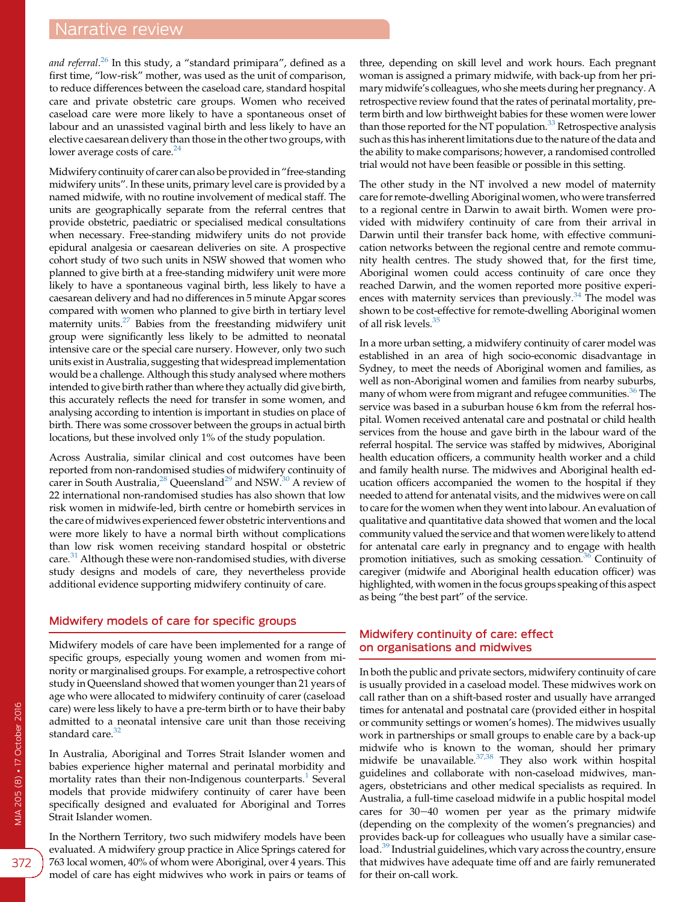*and referral.<sup>[26](#page-4-0)</sup> I*n this study, a "standard primipara", defined as a first time, "low-risk" mother, was used as the unit of comparison, to reduce differences between the caseload care, standard hospital care and private obstetric care groups. Women who received caseload care were more likely to have a spontaneous onset of labour and an unassisted vaginal birth and less likely to have an elective caesarean delivery than those in the other two groups, with lower average costs of care.<sup>24</sup>

Midwifery continuity of carer can also be provided in"free-standing midwifery units". In these units, primary level care is provided by a named midwife, with no routine involvement of medical staff. The units are geographically separate from the referral centres that provide obstetric, paediatric or specialised medical consultations when necessary. Free-standing midwifery units do not provide epidural analgesia or caesarean deliveries on site. A prospective cohort study of two such units in NSW showed that women who planned to give birth at a free-standing midwifery unit were more likely to have a spontaneous vaginal birth, less likely to have a caesarean delivery and had no differences in 5 minute Apgar scores compared with women who planned to give birth in tertiary level maternity units.<sup>27</sup> Babies from the freestanding midwifery unit group were significantly less likely to be admitted to neonatal intensive care or the special care nursery. However, only two such units exist in Australia, suggesting that widespread implementation would be a challenge. Although this study analysed where mothers intended to give birth rather than where they actually did give birth, this accurately reflects the need for transfer in some women, and analysing according to intention is important in studies on place of birth. There was some crossover between the groups in actual birth locations, but these involved only 1% of the study population.

Across Australia, similar clinical and cost outcomes have been reported from non-randomised studies of midwifery continuity of carer in South Australia,<sup>[28](#page-4-0)</sup> Queensland<sup>[29](#page-4-0)</sup> and NSW.<sup>[30](#page-4-0)</sup> A review of 22 international non-randomised studies has also shown that low risk women in midwife-led, birth centre or homebirth services in the care of midwives experienced fewer obstetric interventions and were more likely to have a normal birth without complications than low risk women receiving standard hospital or obstetric care.<sup>[31](#page-4-0)</sup> Although these were non-randomised studies, with diverse study designs and models of care, they nevertheless provide additional evidence supporting midwifery continuity of care.

#### Midwifery models of care for specific groups

Midwifery models of care have been implemented for a range of specific groups, especially young women and women from minority or marginalised groups. For example, a retrospective cohort study in Queensland showed that women younger than 21 years of age who were allocated to midwifery continuity of carer (caseload care) were less likely to have a pre-term birth or to have their baby admitted to a neonatal intensive care unit than those receiving standard care.<sup>[32](#page-4-0)</sup>

In Australia, Aboriginal and Torres Strait Islander women and babies experience higher maternal and perinatal morbidity and mortality rates than their non-Indigenous counterparts.<sup>[1](#page-4-0)</sup> Several models that provide midwifery continuity of carer have been specifically designed and evaluated for Aboriginal and Torres Strait Islander women.

In the Northern Territory, two such midwifery models have been evaluated. A midwifery group practice in Alice Springs catered for 763 local women, 40% of whom were Aboriginal, over 4 years. This model of care has eight midwives who work in pairs or teams of

three, depending on skill level and work hours. Each pregnant woman is assigned a primary midwife, with back-up from her primary midwife's colleagues, who she meets during her pregnancy. A retrospective review found that the rates of perinatal mortality, preterm birth and low birthweight babies for these women were lower than those reported for the NT population. $33$  Retrospective analysis such as this has inherent limitations due to the nature of the data and the ability to make comparisons; however, a randomised controlled trial would not have been feasible or possible in this setting.

The other study in the NT involved a new model of maternity care for remote-dwelling Aboriginal women, who were transferred to a regional centre in Darwin to await birth. Women were provided with midwifery continuity of care from their arrival in Darwin until their transfer back home, with effective communication networks between the regional centre and remote community health centres. The study showed that, for the first time, Aboriginal women could access continuity of care once they reached Darwin, and the women reported more positive experiences with maternity services than previously. $34$  The model was shown to be cost-effective for remote-dwelling Aboriginal women of all risk levels. $3$ 

In a more urban setting, a midwifery continuity of carer model was established in an area of high socio-economic disadvantage in Sydney, to meet the needs of Aboriginal women and families, as well as non-Aboriginal women and families from nearby suburbs, many of whom were from migrant and refugee communities.<sup>36</sup> The service was based in a suburban house 6 km from the referral hospital. Women received antenatal care and postnatal or child health services from the house and gave birth in the labour ward of the referral hospital. The service was staffed by midwives, Aboriginal health education officers, a community health worker and a child and family health nurse. The midwives and Aboriginal health education officers accompanied the women to the hospital if they needed to attend for antenatal visits, and the midwives were on call to care for the women when they went into labour. An evaluation of qualitative and quantitative data showed that women and the local community valued the service and that women were likely to attend for antenatal care early in pregnancy and to engage with health promotion initiatives, such as smoking cessation.<sup>36</sup> Continuity of caregiver (midwife and Aboriginal health education officer) was highlighted, with women in the focus groups speaking of this aspect as being "the best part" of the service.

#### Midwifery continuity of care: effect on organisations and midwives

In both the public and private sectors, midwifery continuity of care is usually provided in a caseload model. These midwives work on call rather than on a shift-based roster and usually have arranged times for antenatal and postnatal care (provided either in hospital or community settings or women's homes). The midwives usually work in partnerships or small groups to enable care by a back-up midwife who is known to the woman, should her primary midwife be unavailable.<sup>[37,38](#page-4-0)</sup> They also work within hospital guidelines and collaborate with non-caseload midwives, managers, obstetricians and other medical specialists as required. In Australia, a full-time caseload midwife in a public hospital model cares for  $30-40$  women per year as the primary midwife (depending on the complexity of the women's pregnancies) and provides back-up for colleagues who usually have a similar caseload.<sup>39</sup> Industrial guidelines, which vary across the country, ensure that midwives have adequate time off and are fairly remunerated for their on-call work.

372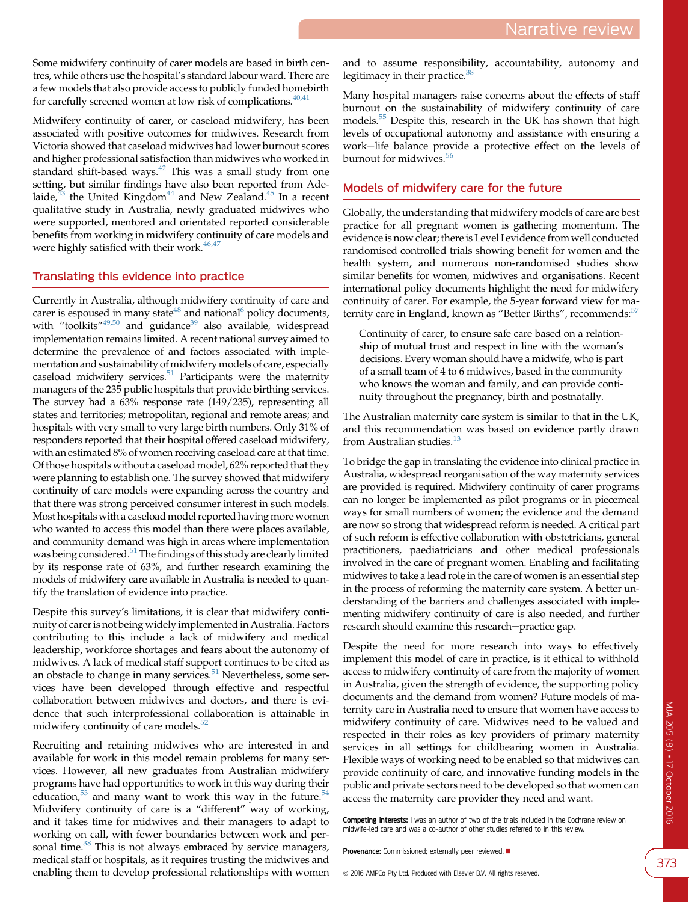Some midwifery continuity of carer models are based in birth centres, while others use the hospital's standard labour ward. There are a few models that also provide access to publicly funded homebirth for carefully screened women at low risk of complications.  $40,41$ 

Midwifery continuity of carer, or caseload midwifery, has been associated with positive outcomes for midwives. Research from Victoria showed that caseload midwives had lower burnout scores and higher professional satisfaction than midwives who worked in standard shift-based ways.<sup>[42](#page-4-0)</sup> This was a small study from one setting, but similar findings have also been reported from Adelaide, $43$  the United Kingdom<sup>44</sup> and New Zealand.<sup>45</sup> In a recent qualitative study in Australia, newly graduated midwives who were supported, mentored and orientated reported considerable benefits from working in midwifery continuity of care models and were highly satisfied with their work.<sup>[46,47](#page-4-0)</sup>

#### Translating this evidence into practice

Currently in Australia, although midwifery continuity of care and carer is espoused in many state<sup>48</sup> and national<sup>[6](#page-4-0)</sup> policy documents, with "toolkits"<sup>[49,50](#page-4-0)</sup> and guidance<sup>39</sup> also available, widespread implementation remains limited. A recent national survey aimed to determine the prevalence of and factors associated with implementation and sustainability of midwifery models of care, especially caseload midwifery services. $51$  Participants were the maternity managers of the 235 public hospitals that provide birthing services. The survey had a 63% response rate (149/235), representing all states and territories; metropolitan, regional and remote areas; and hospitals with very small to very large birth numbers. Only 31% of responders reported that their hospital offered caseload midwifery, with an estimated 8% of women receiving caseload care at that time. Of those hospitals without a caseload model, 62% reported that they were planning to establish one. The survey showed that midwifery continuity of care models were expanding across the country and that there was strong perceived consumer interest in such models. Most hospitals with a caseload model reported having more women who wanted to access this model than there were places available, and community demand was high in areas where implementation was being considered.<sup>51</sup> The findings of this study are clearly limited by its response rate of 63%, and further research examining the models of midwifery care available in Australia is needed to quantify the translation of evidence into practice.

Despite this survey's limitations, it is clear that midwifery continuity of carer is not being widely implemented in Australia. Factors contributing to this include a lack of midwifery and medical leadership, workforce shortages and fears about the autonomy of midwives. A lack of medical staff support continues to be cited as an obstacle to change in many services.<sup>[51](#page-4-0)</sup> Nevertheless, some services have been developed through effective and respectful collaboration between midwives and doctors, and there is evidence that such interprofessional collaboration is attainable in midwifery continuity of care models.<sup>[52](#page-4-0)</sup>

Recruiting and retaining midwives who are interested in and available for work in this model remain problems for many services. However, all new graduates from Australian midwifery programs have had opportunities to work in this way during their education, $53$  and many want to work this way in the future. $54$ Midwifery continuity of care is a "different" way of working, and it takes time for midwives and their managers to adapt to working on call, with fewer boundaries between work and per-sonal time.<sup>[38](#page-4-0)</sup> This is not always embraced by service managers, medical staff or hospitals, as it requires trusting the midwives and enabling them to develop professional relationships with women

and to assume responsibility, accountability, autonomy and legitimacy in their practice.<sup>[38](#page-4-0)</sup>

Many hospital managers raise concerns about the effects of staff burnout on the sustainability of midwifery continuity of care models.[55](#page-4-0) Despite this, research in the UK has shown that high levels of occupational autonomy and assistance with ensuring a work-life balance provide a protective effect on the levels of burnout for midwives. $56$ 

### Models of midwifery care for the future

Globally, the understanding that midwifery models of care are best practice for all pregnant women is gathering momentum. The evidence is now clear; there is Level I evidence from well conducted randomised controlled trials showing benefit for women and the health system, and numerous non-randomised studies show similar benefits for women, midwives and organisations. Recent international policy documents highlight the need for midwifery continuity of carer. For example, the 5-year forward view for ma-ternity care in England, known as "Better Births", recommends:<sup>[57](#page-4-0)</sup>

Continuity of carer, to ensure safe care based on a relationship of mutual trust and respect in line with the woman's decisions. Every woman should have a midwife, who is part of a small team of 4 to 6 midwives, based in the community who knows the woman and family, and can provide continuity throughout the pregnancy, birth and postnatally.

The Australian maternity care system is similar to that in the UK, and this recommendation was based on evidence partly drawn from Australian studies.<sup>[13](#page-4-0)</sup>

To bridge the gap in translating the evidence into clinical practice in Australia, widespread reorganisation of the way maternity services are provided is required. Midwifery continuity of carer programs can no longer be implemented as pilot programs or in piecemeal ways for small numbers of women; the evidence and the demand are now so strong that widespread reform is needed. A critical part of such reform is effective collaboration with obstetricians, general practitioners, paediatricians and other medical professionals involved in the care of pregnant women. Enabling and facilitating midwives to take a lead role in the care of women is an essential step in the process of reforming the maternity care system. A better understanding of the barriers and challenges associated with implementing midwifery continuity of care is also needed, and further research should examine this research-practice gap.

Despite the need for more research into ways to effectively implement this model of care in practice, is it ethical to withhold access to midwifery continuity of care from the majority of women in Australia, given the strength of evidence, the supporting policy documents and the demand from women? Future models of maternity care in Australia need to ensure that women have access to midwifery continuity of care. Midwives need to be valued and respected in their roles as key providers of primary maternity services in all settings for childbearing women in Australia. Flexible ways of working need to be enabled so that midwives can provide continuity of care, and innovative funding models in the public and private sectors need to be developed so that women can access the maternity care provider they need and want.

Competing interests: I was an author of two of the trials included in the Cochrane review on midwife-led care and was a co-author of other studies referred to in this review.

Provenance: Commissioned; externally peer reviewed.